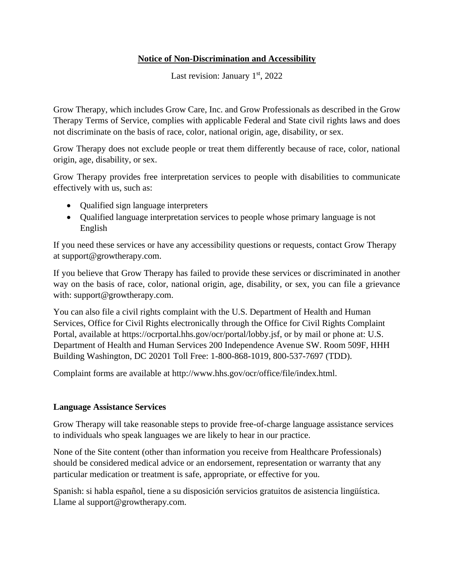## **Notice of Non-Discrimination and Accessibility**

Last revision: January  $1<sup>st</sup>$ , 2022

Grow Therapy, which includes Grow Care, Inc. and Grow Professionals as described in the Grow Therapy Terms of Service, complies with applicable Federal and State civil rights laws and does not discriminate on the basis of race, color, national origin, age, disability, or sex.

Grow Therapy does not exclude people or treat them differently because of race, color, national origin, age, disability, or sex.

Grow Therapy provides free interpretation services to people with disabilities to communicate effectively with us, such as:

- Qualified sign language interpreters
- Qualified language interpretation services to people whose primary language is not English

If you need these services or have any accessibility questions or requests, contact Grow Therapy at support@growtherapy.com.

If you believe that Grow Therapy has failed to provide these services or discriminated in another way on the basis of race, color, national origin, age, disability, or sex, you can file a grievance with: support@growtherapy.com.

You can also file a civil rights complaint with the U.S. Department of Health and Human Services, Office for Civil Rights electronically through the Office for Civil Rights Complaint Portal, available at https://ocrportal.hhs.gov/ocr/portal/lobby.jsf, or by mail or phone at: U.S. Department of Health and Human Services 200 Independence Avenue SW. Room 509F, HHH Building Washington, DC 20201 Toll Free: 1-800-868-1019, 800-537-7697 (TDD).

Complaint forms are available at http://www.hhs.gov/ocr/office/file/index.html.

## **Language Assistance Services**

Grow Therapy will take reasonable steps to provide free-of-charge language assistance services to individuals who speak languages we are likely to hear in our practice.

None of the Site content (other than information you receive from Healthcare Professionals) should be considered medical advice or an endorsement, representation or warranty that any particular medication or treatment is safe, appropriate, or effective for you.

Spanish: si habla español, tiene a su disposición servicios gratuitos de asistencia lingüística. Llame al support@growtherapy.com.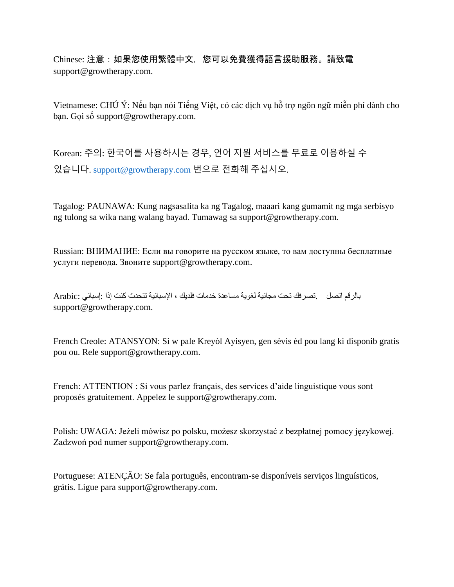Chinese: 注意:如果您使用繁體中文,您可以免費獲得語言援助服務。請致電 support@growtherapy.com.

Vietnamese: CHÚ Ý: Nếu bạn nói Tiếng Việt, có các dịch vụ hỗ trợ ngôn ngữ miễn phí dành cho bạn. Gọi số support@growtherapy.com.

Korean: 주의: 한국어를 사용하시는 경우, 언어 지원 서비스를 무료로 이용하실 수 있습니다. [support@growtherapy.com](mailto:support@growtherapy.com) 번으로 전화해 주십시오.

Tagalog: PAUNAWA: Kung nagsasalita ka ng Tagalog, maaari kang gumamit ng mga serbisyo ng tulong sa wika nang walang bayad. Tumawag sa support@growtherapy.com.

Russian: ВНИМАНИЕ: Если вы говорите на русском языке, то вам доступны бесплатные услуги перевода. Звоните support@growtherapy.com.

بالرقم اتصل .تصرفك تحت مجانية لغوية مساعدة خدمات فلديك ، اإلسبانية تتحدث كنت إذا :إسباني :Arabic support@growtherapy.com.

French Creole: ATANSYON: Si w pale Kreyòl Ayisyen, gen sèvis èd pou lang ki disponib gratis pou ou. Rele support@growtherapy.com.

French: ATTENTION : Si vous parlez français, des services d'aide linguistique vous sont proposés gratuitement. Appelez le support@growtherapy.com.

Polish: UWAGA: Jeżeli mówisz po polsku, możesz skorzystać z bezpłatnej pomocy językowej. Zadzwoń pod numer support@growtherapy.com.

Portuguese: ATENÇÃO: Se fala português, encontram-se disponíveis serviços linguísticos, grátis. Ligue para support@growtherapy.com.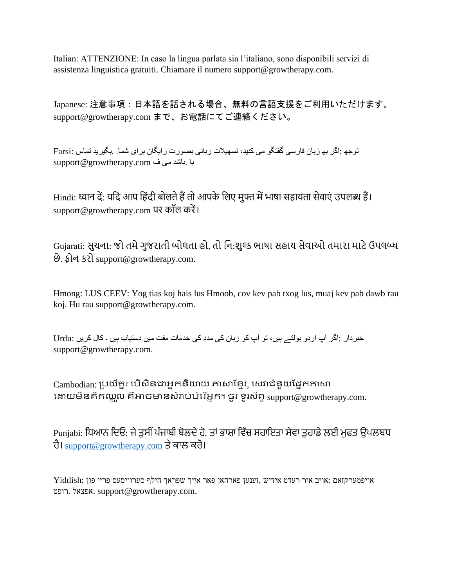Italian: ATTENZIONE: In caso la lingua parlata sia l'italiano, sono disponibili servizi di assistenza linguistica gratuiti. Chiamare il numero support@growtherapy.com.

Japanese: 注意事項:日本語を話される場合、無料の言語支援をご利用いただけます。 support@growtherapy.com まで、お電話にてご連絡ください。

توجھ :اگر بھ زبان فارسی گفتگو می کنيد، تسھيالت زبانی بصورت رايگان برای شما. .بگيريد تماس :Farsi با .باشد می ف com.growtherapy@support

Hindi: ध्यान दें: यदि आप हिंदी बोलते हैं तो आपके लिए मुफ्त में भाषा सहायता सेवाएं उपलब्ध हैं। support@growtherapy.com पर कॉल करें ।

Gujarati: સુચના: જો તમેગુજરાતી બોલતા હો, તો નન:શુલ્ક ભાષા સહાય સેવાઓ તમારા માટેઉપલબ્ધ છે. ફોન કરો support@growtherapy.com.

Hmong: LUS CEEV: Yog tias koj hais lus Hmoob, cov kev pab txog lus, muaj kev pab dawb rau koj. Hu rau support@growtherapy.com.

خبردار :اگر آپ اردو بولتے ہيں، تو آپ کو زبان کی مدد کی خدمات مفت ميں دستياب ہيں ۔ کال کريں :Urdu support@growtherapy.com.

Cambodian: ប្រយ័ត្ន៖ បើសិនជាអ្នកនិយាយ ភាសាខ្មែរ, សេវាជំនួយផ្នែកភាសា បោយមិនគិត្ឈ្ន ួល គឺអាចមានសំរារ់រំបរ ើអ្នក។ ចូ រ ទូរស័ព្ទsupport@growtherapy.com.

Punjabi: ਧਿਆਨ ਦਿਓ: ਜੇ ਤੁਸੀਂ ਪੰਜਾਬੀ ਬੋਲਦੇ ਹੋ, ਤਾਂ ਭਾਸ਼ਾ ਵਿੱਚ ਸਹਾਇਤਾ ਸੇਵਾ ਤੁਹਾਡੇ ਲਈ ਮੁਫਤ ੳਪਲਬਧ ਹੈ। [support@growtherapy.com](mailto:support@growtherapy.com) ਤੇਕਾਲ ਕਰੋ।

אויפמערקזאם :אויב איר רעדט אידיש ,זענען פארהאן פאר אייך שפראך הילף סערוויסעס פריי פון :Yiddish רופט. אפצאל. support@growtherapy.com.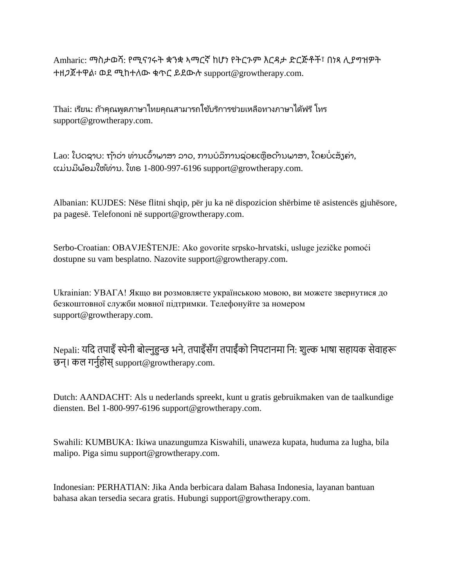Amharic: ማስታወሻ: የሚናገሩት ቋንቋ ኣማርኛ ከሆነ የትርጉም እርዳታ ድርጅቶች፣ በነጻ ሊያግዝዎት ተዘጋጀተዋል፡ ወደ ሚከተለው ቁጥር ይደውሉ support@growtherapy.com.

Thai: เรียน: ถ้าคุณพูดภาษาไทยคุณสามารถใช้บริการช่วยเหลือทางภาษาได้ฟรี โทร support@growtherapy.com.

Lao: ໂປດຊາບ: ຖ້າວ່າ ທ່ານເວົ້າພາສາ ລາວ, ການບໍລິການຊ່ວຍເຫຼືອດ້ານພາສາ, ໂດຍບໍ່ເສັງຄ່າ, ແມ່ນມີພ້ອມໃຫ້ທ່ານ. ໂທຣ  $1$ -800-997-6196 support@growtherapy.com.

Albanian: KUJDES: Nëse flitni shqip, për ju ka në dispozicion shërbime të asistencës gjuhësore, pa pagesë. Telefononi në support@growtherapy.com.

Serbo-Croatian: OBAVJEŠTENJE: Ako govorite srpsko-hrvatski, usluge jezičke pomoći dostupne su vam besplatno. Nazovite support@growtherapy.com.

Ukrainian: УВАГА! Якщо ви розмовляєте українською мовою, ви можете звернутися до безкоштовної служби мовної підтримки. Телефонуйте за номером support@growtherapy.com.

Nepali: यदि तपाइँ स्पेनी बोल्नुहुन्छ भने, तपाइँसँग तपाईंको निपटानमा नि: शुल्क भाषा सहायक सेवाहरू छन्। कल गर्नुहोस् support@growtherapy.com.

Dutch: AANDACHT: Als u nederlands spreekt, kunt u gratis gebruikmaken van de taalkundige diensten. Bel 1-800-997-6196 support@growtherapy.com.

Swahili: KUMBUKA: Ikiwa unazungumza Kiswahili, unaweza kupata, huduma za lugha, bila malipo. Piga simu support@growtherapy.com.

Indonesian: PERHATIAN: Jika Anda berbicara dalam Bahasa Indonesia, layanan bantuan bahasa akan tersedia secara gratis. Hubungi support@growtherapy.com.